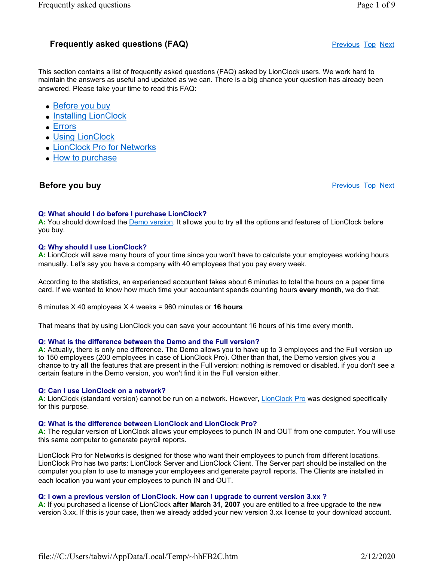# **Frequently asked questions (FAQ)** The state of the Previous Top Next

This section contains a list of frequently asked questions (FAQ) asked by LionClock users. We work hard to maintain the answers as useful and updated as we can. There is a big chance your question has already been answered. Please take your time to read this FAQ:

- Before you buy
- Installing LionClock
- Errors
- Using LionClock
- LionClock Pro for Networks
- How to purchase

# **Before you buy Previous Top Next Associated Before you buy** Previous Top Next

## Q: What should I do before I purchase LionClock?

A: You should download the Demo version. It allows you to try all the options and features of LionClock before you buy.

## Q: Why should I use LionClock?

A: LionClock will save many hours of your time since you won't have to calculate your employees working hours manually. Let's say you have a company with 40 employees that you pay every week.

According to the statistics, an experienced accountant takes about 6 minutes to total the hours on a paper time card. If we wanted to know how much time your accountant spends counting hours every month, we do that:

6 minutes X 40 employees X 4 weeks = 960 minutes or 16 hours

That means that by using LionClock you can save your accountant 16 hours of his time every month.

#### Q: What is the difference between the Demo and the Full version?

A: Actually, there is only one difference. The Demo allows you to have up to 3 employees and the Full version up to 150 employees (200 employees in case of LionClock Pro). Other than that, the Demo version gives you a chance to try all the features that are present in the Full version: nothing is removed or disabled. if you don't see a certain feature in the Demo version, you won't find it in the Full version either.

#### Q: Can I use LionClock on a network?

A: LionClock (standard version) cannot be run on a network. However, LionClock Pro was designed specifically for this purpose.

## Q: What is the difference between LionClock and LionClock Pro?

A: The regular version of LionClock allows your employees to punch IN and OUT from one computer. You will use this same computer to generate payroll reports.

LionClock Pro for Networks is designed for those who want their employees to punch from different locations. LionClock Pro has two parts: LionClock Server and LionClock Client. The Server part should be installed on the computer you plan to use to manage your employees and generate payroll reports. The Clients are installed in each location you want your employees to punch IN and OUT.

## Q: I own a previous version of LionClock. How can I upgrade to current version 3.xx ?

A: If you purchased a license of LionClock **after March 31, 2007** you are entitled to a free upgrade to the new version 3.xx. If this is your case, then we already added your new version 3.xx license to your download account.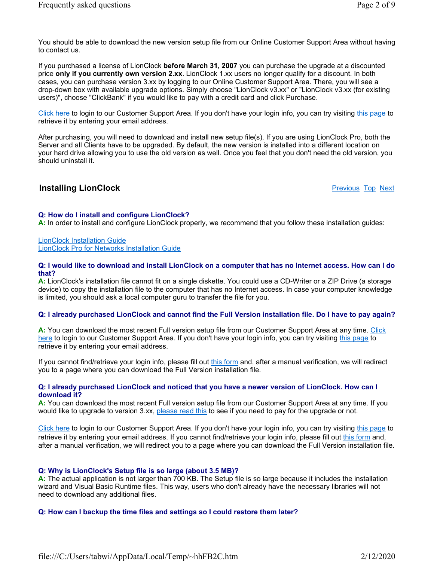You should be able to download the new version setup file from our Online Customer Support Area without having to contact us.

If you purchased a license of LionClock before March 31, 2007 you can purchase the upgrade at a discounted price only if you currently own version 2.xx. LionClock 1.xx users no longer qualify for a discount. In both cases, you can purchase version 3.xx by logging to our Online Customer Support Area. There, you will see a drop-down box with available upgrade options. Simply choose "LionClock v3.xx" or "LionClock v3.xx (for existing users)", choose "ClickBank" if you would like to pay with a credit card and click Purchase.

Click here to login to our Customer Support Area. If you don't have your login info, you can try visiting this page to retrieve it by entering your email address.

After purchasing, you will need to download and install new setup file(s). If you are using LionClock Pro, both the Server and all Clients have to be upgraded. By default, the new version is installed into a different location on your hard drive allowing you to use the old version as well. Once you feel that you don't need the old version, you should uninstall it.

## **Installing LionClock Provident Contract Contract Contract Contract Contract Previous Top Next**

#### Q: How do I install and configure LionClock?

A: In order to install and configure LionClock properly, we recommend that you follow these installation quides:

LionClock Installation Guide LionClock Pro for Networks Installation Guide

#### Q: I would like to download and install LionClock on a computer that has no Internet access. How can I do that?

A: LionClock's installation file cannot fit on a single diskette. You could use a CD-Writer or a ZIP Drive (a storage device) to copy the installation file to the computer that has no Internet access. In case your computer knowledge is limited, you should ask a local computer guru to transfer the file for you.

#### Q: I already purchased LionClock and cannot find the Full Version installation file. Do I have to pay again?

A: You can download the most recent Full version setup file from our Customer Support Area at any time. Click here to login to our Customer Support Area. If you don't have your login info, you can try visiting this page to retrieve it by entering your email address.

If you cannot find/retrieve your login info, please fill out this form and, after a manual verification, we will redirect you to a page where you can download the Full Version installation file.

#### Q: I already purchased LionClock and noticed that you have a newer version of LionClock. How can I download it?

A: You can download the most recent Full version setup file from our Customer Support Area at any time. If you would like to upgrade to version 3.xx, please read this to see if you need to pay for the upgrade or not.

Click here to login to our Customer Support Area. If you don't have your login info, you can try visiting this page to retrieve it by entering your email address. If you cannot find/retrieve your login info, please fill out this form and, after a manual verification, we will redirect you to a page where you can download the Full Version installation file.

#### Q: Why is LionClock's Setup file is so large (about 3.5 MB)?

A: The actual application is not larger than 700 KB. The Setup file is so large because it includes the installation wizard and Visual Basic Runtime files. This way, users who don't already have the necessary libraries will not need to download any additional files.

#### Q: How can I backup the time files and settings so I could restore them later?

file:///C:/Users/tabwi/AppData/Local/Temp/~hhFB2C.htm 2/12/2020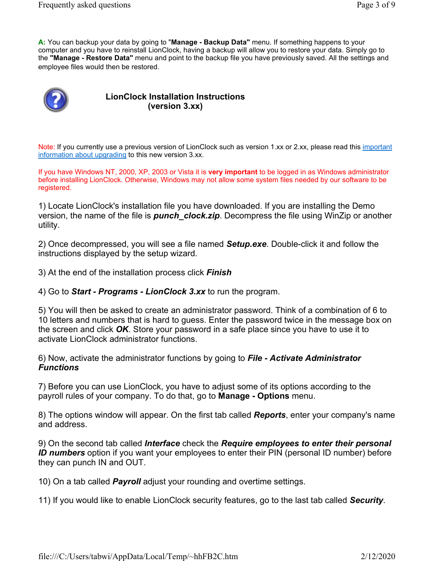A: You can backup your data by going to "Manage - Backup Data" menu. If something happens to your computer and you have to reinstall LionClock, having a backup will allow you to restore your data. Simply go to the "Manage - Restore Data" menu and point to the backup file you have previously saved. All the settings and employee files would then be restored.



## LionClock Installation Instructions (version 3.xx)

Note: If you currently use a previous version of LionClock such as version 1.xx or 2.xx, please read this important information about upgrading to this new version 3.xx.

If you have Windows NT, 2000, XP, 2003 or Vista it is very important to be logged in as Windows administrator before installing LionClock. Otherwise, Windows may not allow some system files needed by our software to be registered.

1) Locate LionClock's installation file you have downloaded. If you are installing the Demo version, the name of the file is *punch* clock.zip. Decompress the file using WinZip or another utility.

2) Once decompressed, you will see a file named **Setup.exe**. Double-click it and follow the instructions displayed by the setup wizard.

3) At the end of the installation process click **Finish** 

4) Go to **Start - Programs - LionClock 3.xx** to run the program.

5) You will then be asked to create an administrator password. Think of a combination of 6 to 10 letters and numbers that is hard to guess. Enter the password twice in the message box on the screen and click  $\overline{OK}$ . Store your password in a safe place since you have to use it to activate LionClock administrator functions.

6) Now, activate the administrator functions by going to File - Activate Administrator **Functions** 

7) Before you can use LionClock, you have to adjust some of its options according to the payroll rules of your company. To do that, go to Manage - Options menu.

8) The options window will appear. On the first tab called **Reports**, enter your company's name and address.

9) On the second tab called *Interface* check the Require employees to enter their personal ID numbers option if you want your employees to enter their PIN (personal ID number) before they can punch IN and OUT.

10) On a tab called **Payroll** adjust your rounding and overtime settings.

11) If you would like to enable LionClock security features, go to the last tab called Security.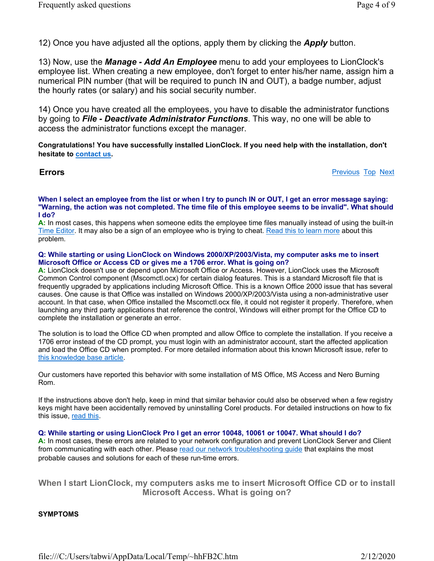12) Once you have adjusted all the options, apply them by clicking the **Apply** button.

13) Now, use the **Manage - Add An Employee** menu to add your employees to LionClock's employee list. When creating a new employee, don't forget to enter his/her name, assign him a numerical PIN number (that will be required to punch IN and OUT), a badge number, adjust the hourly rates (or salary) and his social security number.

14) Once you have created all the employees, you have to disable the administrator functions by going to **File - Deactivate Administrator Functions**. This way, no one will be able to access the administrator functions except the manager.

Congratulations! You have successfully installed LionClock. If you need help with the installation, don't hesitate to contact us.

#### **Errors** Previous Top Next

#### When I select an employee from the list or when I try to punch IN or OUT, I get an error message saying: "Warning, the action was not completed. The time file of this employee seems to be invalid". What should I do?

A: In most cases, this happens when someone edits the employee time files manually instead of using the built-in Time Editor. It may also be a sign of an employee who is trying to cheat. Read this to learn more about this problem.

#### Q: While starting or using LionClock on Windows 2000/XP/2003/Vista, my computer asks me to insert Microsoft Office or Access CD or gives me a 1706 error. What is going on?

A: LionClock doesn't use or depend upon Microsoft Office or Access. However, LionClock uses the Microsoft Common Control component (Mscomctl.ocx) for certain dialog features. This is a standard Microsoft file that is frequently upgraded by applications including Microsoft Office. This is a known Office 2000 issue that has several causes. One cause is that Office was installed on Windows 2000/XP/2003/Vista using a non-administrative user account. In that case, when Office installed the Mscomctl.ocx file, it could not register it properly. Therefore, when launching any third party applications that reference the control, Windows will either prompt for the Office CD to complete the installation or generate an error.

The solution is to load the Office CD when prompted and allow Office to complete the installation. If you receive a 1706 error instead of the CD prompt, you must login with an administrator account, start the affected application and load the Office CD when prompted. For more detailed information about this known Microsoft issue, refer to this knowledge base article.

Our customers have reported this behavior with some installation of MS Office, MS Access and Nero Burning Rom.

If the instructions above don't help, keep in mind that similar behavior could also be observed when a few registry keys might have been accidentally removed by uninstalling Corel products. For detailed instructions on how to fix this issue, read this.

#### Q: While starting or using LionClock Pro I get an error 10048, 10061 or 10047. What should I do?

A: In most cases, these errors are related to your network configuration and prevent LionClock Server and Client from communicating with each other. Please read our network troubleshooting guide that explains the most probable causes and solutions for each of these run-time errors.

When I start LionClock, my computers asks me to insert Microsoft Office CD or to install Microsoft Access. What is going on?

## SYMPTOMS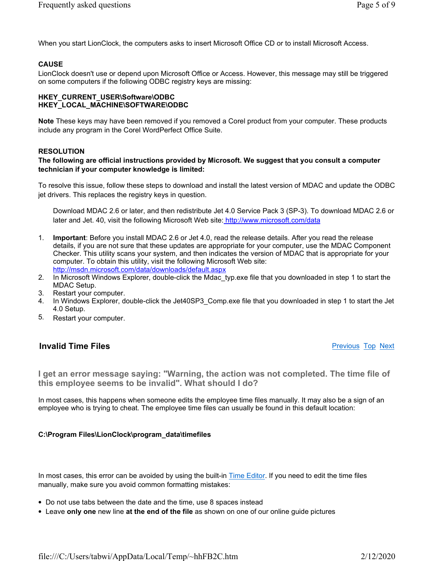When you start LionClock, the computers asks to insert Microsoft Office CD or to install Microsoft Access.

## **CAUSE**

LionClock doesn't use or depend upon Microsoft Office or Access. However, this message may still be triggered on some computers if the following ODBC registry keys are missing:

#### HKEY\_CURRENT\_USER\Software\ODBC HKEY\_LOCAL\_MACHINE\SOFTWARE\ODBC

Note These keys may have been removed if you removed a Corel product from your computer. These products include any program in the Corel WordPerfect Office Suite.

## **RESOLUTION**

## The following are official instructions provided by Microsoft. We suggest that you consult a computer technician if your computer knowledge is limited:

To resolve this issue, follow these steps to download and install the latest version of MDAC and update the ODBC jet drivers. This replaces the registry keys in question.

Download MDAC 2.6 or later, and then redistribute Jet 4.0 Service Pack 3 (SP-3). To download MDAC 2.6 or later and Jet. 40, visit the following Microsoft Web site: http://www.microsoft.com/data

- 1. Important: Before you install MDAC 2.6 or Jet 4.0, read the release details. After you read the release details, if you are not sure that these updates are appropriate for your computer, use the MDAC Component Checker. This utility scans your system, and then indicates the version of MDAC that is appropriate for your computer. To obtain this utility, visit the following Microsoft Web site: http://msdn.microsoft.com/data/downloads/default.aspx
- 2. In Microsoft Windows Explorer, double-click the Mdac\_typ.exe file that you downloaded in step 1 to start the MDAC Setup.
- 3. Restart your computer.
- 4. In Windows Explorer, double-click the Jet40SP3\_Comp.exe file that you downloaded in step 1 to start the Jet 4.0 Setup.
- 5. Restart your computer.

## **Invalid Time Files Previous Top Next Previous Top Next**

I get an error message saying: "Warning, the action was not completed. The time file of this employee seems to be invalid". What should I do?

In most cases, this happens when someone edits the employee time files manually. It may also be a sign of an employee who is trying to cheat. The employee time files can usually be found in this default location:

## C:\Program Files\LionClock\program\_data\timefiles

In most cases, this error can be avoided by using the built-in Time Editor. If you need to edit the time files manually, make sure you avoid common formatting mistakes:

- Do not use tabs between the date and the time, use 8 spaces instead
- Leave only one new line at the end of the file as shown on one of our online guide pictures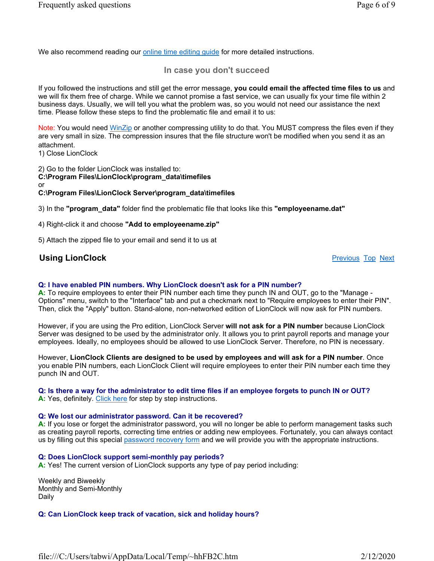We also recommend reading our online time editing guide for more detailed instructions.

## In case you don't succeed

If you followed the instructions and still get the error message, you could email the affected time files to us and we will fix them free of charge. While we cannot promise a fast service, we can usually fix your time file within 2 business days. Usually, we will tell you what the problem was, so you would not need our assistance the next time. Please follow these steps to find the problematic file and email it to us:

Note: You would need WinZip or another compressing utility to do that. You MUST compress the files even if they are very small in size. The compression insures that the file structure won't be modified when you send it as an attachment.

1) Close LionClock

2) Go to the folder LionClock was installed to: C:\Program Files\LionClock\program\_data\timefiles or C:\Program Files\LionClock Server\program\_data\timefiles

3) In the "program\_data" folder find the problematic file that looks like this "employeename.dat"

4) Right-click it and choose "Add to employeename.zip"

5) Attach the zipped file to your email and send it to us at

## **Using LionClock** Previous Top Next

#### Q: I have enabled PIN numbers. Why LionClock doesn't ask for a PIN number?

A: To require employees to enter their PIN number each time they punch IN and OUT, go to the "Manage - Options" menu, switch to the "Interface" tab and put a checkmark next to "Require employees to enter their PIN". Then, click the "Apply" button. Stand-alone, non-networked edition of LionClock will now ask for PIN numbers.

However, if you are using the Pro edition, LionClock Server will not ask for a PIN number because LionClock Server was designed to be used by the administrator only. It allows you to print payroll reports and manage your employees. Ideally, no employees should be allowed to use LionClock Server. Therefore, no PIN is necessary.

However, LionClock Clients are designed to be used by employees and will ask for a PIN number. Once you enable PIN numbers, each LionClock Client will require employees to enter their PIN number each time they punch IN and OUT.

#### Q: Is there a way for the administrator to edit time files if an employee forgets to punch IN or OUT?

A: Yes, definitely. Click here for step by step instructions.

#### Q: We lost our administrator password. Can it be recovered?

A: If you lose or forget the administrator password, you will no longer be able to perform management tasks such as creating payroll reports, correcting time entries or adding new employees. Fortunately, you can always contact us by filling out this special password recovery form and we will provide you with the appropriate instructions.

#### Q: Does LionClock support semi-monthly pay periods?

A: Yes! The current version of LionClock supports any type of pay period including:

Weekly and Biweekly Monthly and Semi-Monthly Daily

Q: Can LionClock keep track of vacation, sick and holiday hours?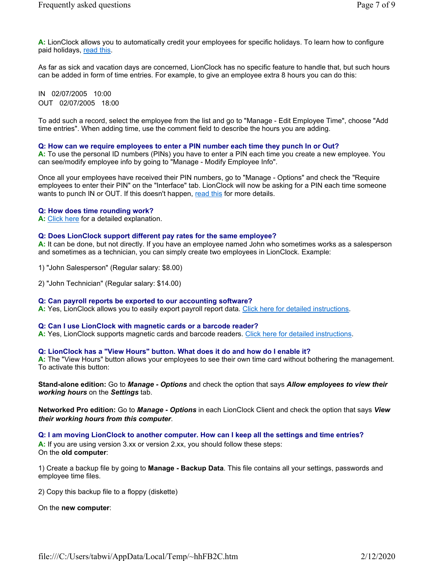A: LionClock allows you to automatically credit your employees for specific holidays. To learn how to configure paid holidays, read this.

As far as sick and vacation days are concerned, LionClock has no specific feature to handle that, but such hours can be added in form of time entries. For example, to give an employee extra 8 hours you can do this:

IN 02/07/2005 10:00 OUT 02/07/2005 18:00

To add such a record, select the employee from the list and go to "Manage - Edit Employee Time", choose "Add time entries". When adding time, use the comment field to describe the hours you are adding.

#### Q: How can we require employees to enter a PIN number each time they punch In or Out?

A: To use the personal ID numbers (PINs) you have to enter a PIN each time you create a new employee. You can see/modify employee info by going to "Manage - Modify Employee Info".

Once all your employees have received their PIN numbers, go to "Manage - Options" and check the "Require employees to enter their PIN" on the "Interface" tab. LionClock will now be asking for a PIN each time someone wants to punch IN or OUT. If this doesn't happen, read this for more details.

#### Q: How does time rounding work?

A: Click here for a detailed explanation.

#### Q: Does LionClock support different pay rates for the same employee?

A: It can be done, but not directly. If you have an employee named John who sometimes works as a salesperson and sometimes as a technician, you can simply create two employees in LionClock. Example:

1) "John Salesperson" (Regular salary: \$8.00)

2) "John Technician" (Regular salary: \$14.00)

#### Q: Can payroll reports be exported to our accounting software?

A: Yes, LionClock allows you to easily export payroll report data. Click here for detailed instructions.

#### Q: Can I use LionClock with magnetic cards or a barcode reader?

A: Yes, LionClock supports magnetic cards and barcode readers. Click here for detailed instructions.

#### Q: LionClock has a "View Hours" button. What does it do and how do I enable it?

A: The "View Hours" button allows your employees to see their own time card without bothering the management. To activate this button:

Stand-alone edition: Go to Manage - Options and check the option that says Allow employees to view their working hours on the Settings tab.

Networked Pro edition: Go to Manage - Options in each LionClock Client and check the option that says View their working hours from this computer.

#### Q: I am moving LionClock to another computer. How can I keep all the settings and time entries?

A: If you are using version 3.xx or version 2.xx, you should follow these steps: On the old computer:

1) Create a backup file by going to Manage - Backup Data. This file contains all your settings, passwords and employee time files.

2) Copy this backup file to a floppy (diskette)

On the new computer: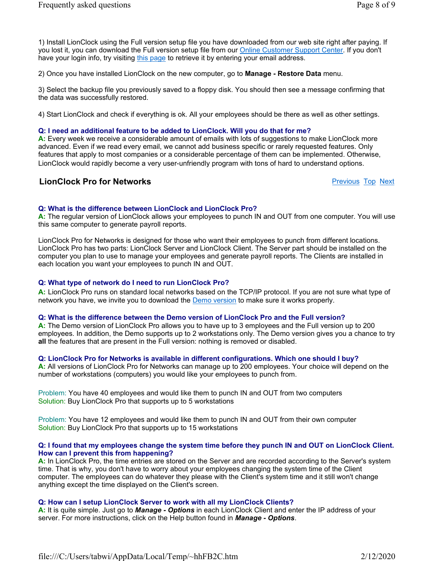1) Install LionClock using the Full version setup file you have downloaded from our web site right after paying. If you lost it, you can download the Full version setup file from our Online Customer Support Center. If you don't have your login info, try visiting this page to retrieve it by entering your email address.

2) Once you have installed LionClock on the new computer, go to Manage - Restore Data menu.

3) Select the backup file you previously saved to a floppy disk. You should then see a message confirming that the data was successfully restored.

4) Start LionClock and check if everything is ok. All your employees should be there as well as other settings.

#### Q: I need an additional feature to be added to LionClock. Will you do that for me?

A: Every week we receive a considerable amount of emails with lots of suggestions to make LionClock more advanced. Even if we read every email, we cannot add business specific or rarely requested features. Only features that apply to most companies or a considerable percentage of them can be implemented. Otherwise, LionClock would rapidly become a very user-unfriendly program with tons of hard to understand options.

## **LionClock Pro for Networks Proposed Accounts** Previous Top Next

## Q: What is the difference between LionClock and LionClock Pro?

A: The regular version of LionClock allows your employees to punch IN and OUT from one computer. You will use this same computer to generate payroll reports.

LionClock Pro for Networks is designed for those who want their employees to punch from different locations. LionClock Pro has two parts: LionClock Server and LionClock Client. The Server part should be installed on the computer you plan to use to manage your employees and generate payroll reports. The Clients are installed in each location you want your employees to punch IN and OUT.

#### Q: What type of network do I need to run LionClock Pro?

A: LionClock Pro runs on standard local networks based on the TCP/IP protocol. If you are not sure what type of network you have, we invite you to download the **Demo version** to make sure it works properly.

#### Q: What is the difference between the Demo version of LionClock Pro and the Full version?

A: The Demo version of LionClock Pro allows you to have up to 3 employees and the Full version up to 200 employees. In addition, the Demo supports up to 2 workstations only. The Demo version gives you a chance to try all the features that are present in the Full version: nothing is removed or disabled.

#### Q: LionClock Pro for Networks is available in different configurations. Which one should I buy?

A: All versions of LionClock Pro for Networks can manage up to 200 employees. Your choice will depend on the number of workstations (computers) you would like your employees to punch from.

Problem: You have 40 employees and would like them to punch IN and OUT from two computers Solution: Buy LionClock Pro that supports up to 5 workstations

Problem: You have 12 employees and would like them to punch IN and OUT from their own computer Solution: Buy LionClock Pro that supports up to 15 workstations

#### Q: I found that my employees change the system time before they punch IN and OUT on LionClock Client. How can I prevent this from happening?

A: In LionClock Pro, the time entries are stored on the Server and are recorded according to the Server's system time. That is why, you don't have to worry about your employees changing the system time of the Client computer. The employees can do whatever they please with the Client's system time and it still won't change anything except the time displayed on the Client's screen.

## Q: How can I setup LionClock Server to work with all my LionClock Clients?

A: It is quite simple. Just go to **Manage - Options** in each LionClock Client and enter the IP address of your server. For more instructions, click on the Help button found in Manage - Options.